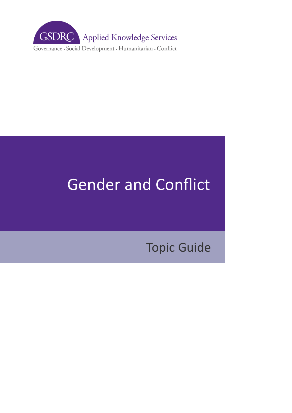

# Gender and Conflict

Topic Guide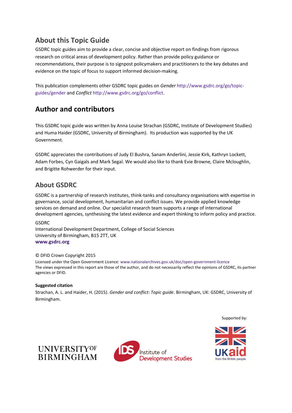## **About this Topic Guide**

GSDRC topic guides aim to provide a clear, concise and objective report on findings from rigorous research on critical areas of development policy. Rather than provide policy guidance or recommendations, their purpose is to signpost policymakers and practitioners to the key debates and evidence on the topic of focus to support informed decision-making.

This publication complements other GSDRC topic guides on *Gender* [http://www.gsdrc.org/go/topic](http://www.gsdrc.org/go/topic-guides/gender)[guides/gender](http://www.gsdrc.org/go/topic-guides/gender) and *Conflict* [http://www.gsdrc.org/go/conflict.](http://www.gsdrc.org/go/cothisnflict)

## **Author and contributors**

This GSDRC topic guide was written by Anna Louise Strachan (GSDRC, Institute of Development Studies) and Huma Haider (GSDRC, University of Birmingham). Its production was supported by the UK Government.

GSDRC appreciates the contributions of Judy El Bushra, Sanam Anderlini, Jessie Kirk, Kathryn Lockett, Adam Forbes, Cyn Gaigals and Mark Segal. We would also like to thank Evie Browne, Claire Mcloughlin, and Brigitte Rohwerder for their input.

## **About GSDRC**

GSDRC is a partnership of research institutes, think-tanks and consultancy organisations with expertise in governance, social development, humanitarian and conflict issues. We provide applied knowledge services on demand and online. Our specialist research team supports a range of international development agencies, synthesising the latest evidence and expert thinking to inform policy and practice.

#### GSDRC

International Development Department, College of Social Sciences University of Birmingham, B15 2TT, UK **[www.gsdrc.org](http://www.gsdrc.org/)** 

#### © DFID Crown Copyright 2015

Licensed under the Open Government Licence: [www.nationalarchives.gov.uk/doc/open-government-licence](http://www.nationalarchives.gov.uk/doc/open-government-licence) The views expressed in this report are those of the author, and do not necessarily reflect the opinions of GSDRC, its partner agencies or DFID.

#### **Suggested citation**

Strachan, A. L. and Haider, H. (2015). *Gender and conflict: Topic guide*. Birmingham, UK: GSDRC, University of Birmingham.

Supported by:





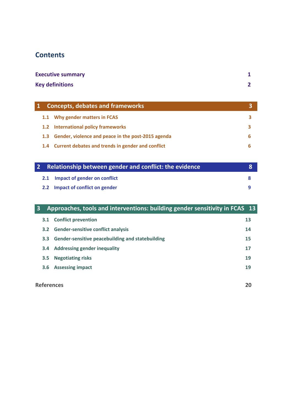## **Contents**

| <b>Executive summary</b> |   |
|--------------------------|---|
| <b>Key definitions</b>   | ◠ |

|                  | <b>Concepts, debates and frameworks</b>               |   |
|------------------|-------------------------------------------------------|---|
|                  | 1.1 Why gender matters in FCAS                        |   |
|                  | 1.2 International policy frameworks                   |   |
| 1.3 <sub>1</sub> | Gender, violence and peace in the post-2015 agenda    | h |
|                  | 1.4 Current debates and trends in gender and conflict |   |

|  | 2 Relationship between gender and conflict: the evidence |  |
|--|----------------------------------------------------------|--|
|  | 2.1 Impact of gender on conflict                         |  |
|  | 2.2 Impact of conflict on gender                         |  |

| Approaches, tools and interventions: building gender sensitivity in FCAS 13<br>$\overline{\mathbf{3}}$ |                         |                                                  |    |  |  |
|--------------------------------------------------------------------------------------------------------|-------------------------|--------------------------------------------------|----|--|--|
|                                                                                                        | 3.1                     | <b>Conflict prevention</b>                       | 13 |  |  |
|                                                                                                        | 3.2                     | <b>Gender-sensitive conflict analysis</b>        | 14 |  |  |
|                                                                                                        | 3.3 <sub>2</sub>        | Gender-sensitive peacebuilding and statebuilding | 15 |  |  |
|                                                                                                        | 3.4                     | <b>Addressing gender inequality</b>              | 17 |  |  |
|                                                                                                        | 3.5                     | <b>Negotiating risks</b>                         | 19 |  |  |
|                                                                                                        | 3.6                     | <b>Assessing impact</b>                          | 19 |  |  |
|                                                                                                        |                         |                                                  |    |  |  |
|                                                                                                        | <b>References</b><br>20 |                                                  |    |  |  |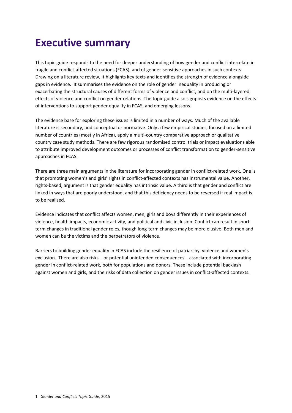## <span id="page-3-0"></span>**Executive summary**

This topic guide responds to the need for deeper understanding of how gender and conflict interrelate in fragile and conflict-affected situations (FCAS), and of gender-sensitive approaches in such contexts. Drawing on a literature review, it highlights key texts and identifies the strength of evidence alongside gaps in evidence. It summarises the evidence on the role of gender inequality in producing or exacerbating the structural causes of different forms of violence and conflict, and on the multi-layered effects of violence and conflict on gender relations. The topic guide also signposts evidence on the effects of interventions to support gender equality in FCAS, and emerging lessons.

The evidence base for exploring these issues is limited in a number of ways. Much of the available literature is secondary, and conceptual or normative. Only a few empirical studies, focused on a limited number of countries (mostly in Africa), apply a multi-country comparative approach or qualitative country case study methods. There are few rigorous randomised control trials or impact evaluations able to attribute improved development outcomes or processes of conflict transformation to gender-sensitive approaches in FCAS.

There are three main arguments in the literature for incorporating gender in conflict-related work**.** One is that promoting women's and girls' rights in conflict-affected contexts has instrumental value. Another, rights-based, argument is that gender equality has intrinsic value. A third is that gender and conflict are linked in ways that are poorly understood, and that this deficiency needs to be reversed if real impact is to be realised.

Evidence indicates that conflict affects women, men, girls and boys differently in their experiences of violence, health impacts, economic activity, and political and civic inclusion. Conflict can result in shortterm changes in traditional gender roles, though long-term changes may be more elusive. Both men and women can be the victims and the perpetrators of violence.

Barriers to building gender equality in FCAS include the resilience of patriarchy, violence and women's exclusion. There are also risks – or potential unintended consequences – associated with incorporating gender in conflict-related work, both for populations and donors. These include potential backlash against women and girls, and the risks of data collection on gender issues in conflict-affected contexts.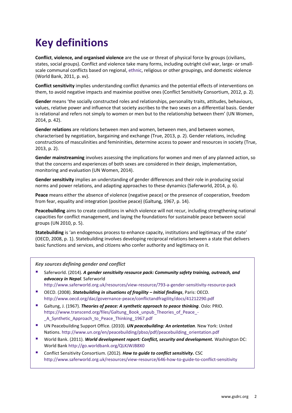## <span id="page-4-0"></span>**Key definitions**

**Conflict**, **violence, and organised violence** are the use or threat of physical force by groups (civilians, states, social groups). Conflict and violence take many forms, including outright civil war, large- or smallscale communal conflicts based on regional, ethnic, religious or other groupings, and domestic violence (World Bank, 2011, p. xv).

**Conflict sensitivity** implies understanding conflict dynamics and the potential effects of interventions on them, to avoid negative impacts and maximise positive ones (Conflict Sensitivity Consortium, 2012, p. 2).

**Gender** means 'the socially constructed roles and relationships, personality traits, attitudes, behaviours, values, relative power and influence that society ascribes to the two sexes on a differential basis. Gender is relational and refers not simply to women or men but to the relationship between them' (UN Women, 2014, p. 42).

**Gender relations** are relations between men and women, between men, and between women, characterised by negotiation, bargaining and exchange (True, 2013, p. 2). Gender relations, including constructions of masculinities and femininities, determine access to power and resources in society (True, 2013, p. 2).

**Gender mainstreaming** involves assessing the implications for women and men of any planned action, so that the concerns and experiences of both sexes are considered in their design, implementation, monitoring and evaluation (UN Women, 2014).

**Gender sensitivity** implies an understanding of gender differences and their role in producing social norms and power relations, and adapting approaches to these dynamics (Saferworld, 2014, p. 6).

**Peace** means either the absence of violence (negative peace) or the presence of cooperation, freedom from fear, equality and integration (positive peace) (Galtung, 1967, p. 14).

**Peacebuilding** aims to create conditions in which violence will not recur, including strengthening national capacities for conflict management, and laying the foundations for sustainable peace between social groups (UN 2010, p. 5).

**Statebuilding** is 'an endogenous process to enhance capacity, institutions and legitimacy of the state' (OECD, 2008, p. 1). Statebuilding involves developing reciprocal relations between a state that delivers basic functions and services, and citizens who confer authority and legitimacy on it.

#### *Key sources defining gender and conflict*

 Saferworld. (2014). *[A gender sensitivity resource pack: Community safety training, outreach, and](http://www.saferworld.org.uk/resources/view-resource/793-a-gender-sensitivity-resource-pack)  [advocacy in Nepal](http://www.saferworld.org.uk/resources/view-resource/793-a-gender-sensitivity-resource-pack)*. Saferworld

<http://www.saferworld.org.uk/resources/view-resource/793-a-gender-sensitivity-resource-pack>

- OECD. (2008). **[Statebuilding in situations of fragility](http://www.oecd.org/development/incaf/41212290.pdf)  Initial findings, Paris: OECD.** <http://www.oecd.org/dac/governance-peace/conflictandfragility/docs/41212290.pdf>
- Galtung, J. (1967). *[Theories of peace: A synthetic approach to peace thinking](http://www.transcend.org/files/Galtung_Book_unpub_Theories_of_Peace_-_A_Synthetic_Approach_to_Peace_Thinking_1967.pdf)*. Oslo: PRIO. [https://www.transcend.org/files/Galtung\\_Book\\_unpub\\_Theories\\_of\\_Peace\\_-](https://www.transcend.org/files/Galtung_Book_unpub_Theories_of_Peace_-_A_Synthetic_Approach_to_Peace_Thinking_1967.pdf) [\\_A\\_Synthetic\\_Approach\\_to\\_Peace\\_Thinking\\_1967.pdf](https://www.transcend.org/files/Galtung_Book_unpub_Theories_of_Peace_-_A_Synthetic_Approach_to_Peace_Thinking_1967.pdf)
- UN Peacebuilding Support Office. (2010). *[UN peacebuilding:](http://www.un.org/en/peacebuilding/pbso/pdf/peacebuilding_orientation.pdf) An orientation*. New York: United Nations. [http://www.un.org/en/peacebuilding/pbso/pdf/peacebuilding\\_orientation.pdf](http://www.un.org/en/peacebuilding/pbso/pdf/peacebuilding_orientation.pdf)
- World Bank. (2011). *[World development report: Conflict, security and development.](ttp://siteresources.worldbank.org/INTWDRS/Resources/WDR2011_Full_Text.pdf)***.**Washington DC: World Bank <http://go.worldbank.org/QLKJWJB8X0>
- **EXECONFEDEE Conflict Sensitivity Consortium. (2012). [How to guide to conflict sensitivity.](http://www.saferworld.org.uk/resources/view-resource/646-how-to-guide-to-conflict-sensitivity) CSC** <http://www.saferworld.org.uk/resources/view-resource/646-how-to-guide-to-conflict-sensitivity>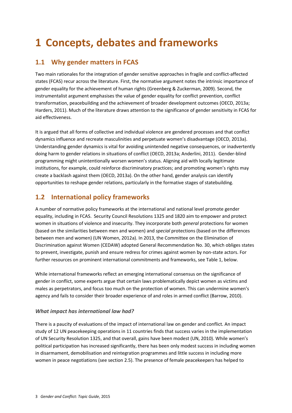## <span id="page-5-0"></span>**1 Concepts, debates and frameworks**

## <span id="page-5-1"></span>**1.1 Why gender matters in FCAS**

Two main rationales for the integration of gender sensitive approaches in fragile and conflict-affected states (FCAS) recur across the literature. First, the normative argument notes the intrinsic importance of gender equality for the achievement of human rights (Greenberg & Zuckerman, 2009). Second, the instrumentalist argument emphasises the value of gender equality for conflict prevention, conflict transformation, peacebuilding and the achievement of broader development outcomes (OECD, 2013a; Harders, 2011). Much of the literature draws attention to the significance of gender sensitivity in FCAS for aid effectiveness.

It is argued that all forms of collective and individual violence are gendered processes and that conflict dynamics influence and recreate masculinities and perpetuate women's disadvantage (OECD, 2013a). Understanding gender dynamics is vital for avoiding unintended negative consequences, or inadvertently doing harm to gender relations in situations of conflict (OECD, 2013a; Anderlini, 2011). Gender-blind programming might unintentionally worsen women's status. Aligning aid with locally legitimate institutions, for example, could reinforce discriminatory practices; and promoting women's rights may create a backlash against them (OECD, 2013a). On the other hand, gender analysis can identify opportunities to reshape gender relations, particularly in the formative stages of statebuilding.

## <span id="page-5-2"></span>**1.2 International policy frameworks**

A number of normative policy frameworks at the international and national level promote gender equality, including in FCAS. Security Council Resolutions 1325 and 1820 aim to empower and protect women in situations of violence and insecurity. They incorporate both *general* protections for women (based on the similarities between men and women) and *special* protections (based on the differences between men and women) (UN Women, 2012a). In 2013, the Committee on the Elimination of Discrimination against Women (CEDAW) adopted General Recommendation No. 30, which obliges states to prevent, investigate, punish and ensure redress for crimes against women by non-state actors. For further resources on prominent international commitments and frameworks, see Table 1, below.

While international frameworks reflect an emerging international consensus on the significance of gender in conflict, some experts argue that certain laws problematically depict women as victims and males as perpetrators, and focus too much on the protection of women. This can undermine women's agency and fails to consider their broader experience of and roles in armed conflict (Barrow, 2010).

### *What impact has international law had?*

There is a paucity of evaluations of the impact of international law on gender and conflict. An impact study of 12 UN peacekeeping operations in 11 countries finds that success varies in the implementation of UN Security Resolution 1325, and that overall, gains have been modest (UN, 2010). While women's political participation has increased significantly, there has been only modest success in including women in disarmament, demobilisation and reintegration programmes and little success in including more women in peace negotiations (see section 2.5). The presence of female peacekeepers has helped to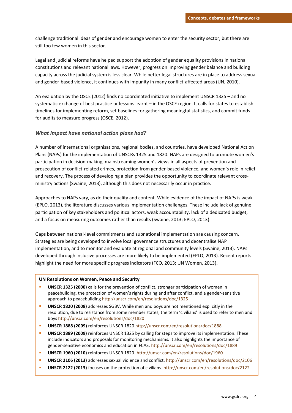challenge traditional ideas of gender and encourage women to enter the security sector, but there are still too few women in this sector.

Legal and judicial reforms have helped support the adoption of gender equality provisions in national constitutions and relevant national laws. However, progress on improving gender balance and building capacity across the judicial system is less clear. While better legal structures are in place to address sexual and gender-based violence, it continues with impunity in many conflict-affected areas (UN, 2010).

An evaluation by the OSCE (2012) finds no coordinated initiative to implement UNSCR 1325 – and no systematic exchange of best practice or lessons learnt – in the OSCE region. It calls for states to establish timelines for implementing reform, set baselines for gathering meaningful statistics, and commit funds for audits to measure progress (OSCE, 2012).

#### *What impact have national action plans had?*

A number of international organisations, regional bodies, and countries, have developed National Action Plans (NAPs) for the implementation of UNSCRs 1325 and 1820. NAPs are designed to promote women's participation in decision-making, mainstreaming women's views in all aspects of prevention and prosecution of conflict-related crimes, protection from gender-based violence, and women's role in relief and recovery. The process of developing a plan provides the opportunity to coordinate relevant crossministry actions (Swaine, 2013), although this does not necessarily occur in practice.

Approaches to NAPs vary, as do their quality and content. While evidence of the impact of NAPs is weak (EPLO, 2013), the literature discusses various implementation challenges. These include lack of genuine participation of key stakeholders and political actors, weak accountability, lack of a dedicated budget, and a focus on measuring outcomes rather than results (Swaine, 2013; EPLO, 2013).

Gaps between national-level commitments and subnational implementation are causing concern. Strategies are being developed to involve local governance structures and decentralise NAP implementation, and to monitor and evaluate at regional and community levels (Swaine, 2013). NAPs developed through inclusive processes are more likely to be implemented (EPLO, 2013). Recent reports highlight the need for more specific progress indicators (FCO, 2013; UN Women, 2013).

#### **UN Resolutions on Women, Peace and Security**

- **UNSCR 1325 (2000)** calls for the prevention of conflict, stronger participation of women in peacebuilding, the protection of women's rights during and after conflict, and a gender-sensitive approach to peacebuilding<http://unscr.com/en/resolutions/doc/1325>
- **UNSCR 1820 (2008)** addresses SGBV. While men and boys are not mentioned explicitly in the resolution, due to resistance from some member states, the term 'civilians' is used to refer to men and boy[s http://unscr.com/en/resolutions/doc/1820](http://unscr.com/en/resolutions/doc/1820)
- **UNSCR 1888 (2009)** reinforces UNSCR 1820<http://unscr.com/en/resolutions/doc/1888>
- **UNSCR 1889 (2009)** reinforces UNSCR 1325 by calling for steps to improve its implementation. These include indicators and proposals for monitoring mechanisms. It also highlights the importance of gender-sensitive economics and education in FCAS. <http://unscr.com/en/resolutions/doc/1889>
- **UNSCR 1960 (2010)** reinforces UNSCR 1820. <http://unscr.com/en/resolutions/doc/1960>
- **UNSCR 2106 (2013)** addresses sexual violence and conflict[. http://unscr.com/en/resolutions/doc/2106](http://unscr.com/en/resolutions/doc/2106)
- **UNSCR 2122 (2013)** focuses on the protection of civilians[. http://unscr.com/en/resolutions/doc/2122](http://unscr.com/en/resolutions/doc/2122)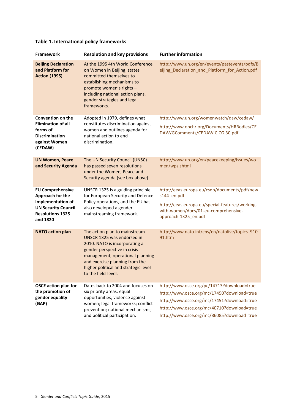| <b>Framework</b>                                                                                                                      | <b>Resolution and key provisions</b>                                                                                                                                                                                                                              | <b>Further information</b>                                                                                                                                                                                                         |
|---------------------------------------------------------------------------------------------------------------------------------------|-------------------------------------------------------------------------------------------------------------------------------------------------------------------------------------------------------------------------------------------------------------------|------------------------------------------------------------------------------------------------------------------------------------------------------------------------------------------------------------------------------------|
| <b>Beijing Declaration</b><br>and Platform for<br><b>Action (1995)</b>                                                                | At the 1995 4th World Conference<br>on Women in Beijing, states<br>committed themselves to<br>establishing mechanisms to<br>promote women's rights -<br>including national action plans,<br>gender strategies and legal<br>frameworks.                            | http://www.un.org/en/events/pastevents/pdfs/B<br>eijing_Declaration_and_Platform_for_Action.pdf                                                                                                                                    |
| <b>Convention on the</b><br><b>Elimination of all</b><br>forms of<br><b>Discrimination</b><br>against Women<br>(CEDAW)                | Adopted in 1979, defines what<br>constitutes discrimination against<br>women and outlines agenda for<br>national action to end<br>discrimination.                                                                                                                 | http://www.un.org/womenwatch/daw/cedaw/<br>http://www.ohchr.org/Documents/HRBodies/CE<br>DAW/GComments/CEDAW.C.CG.30.pdf                                                                                                           |
| <b>UN Women, Peace</b><br>and Security Agenda                                                                                         | The UN Security Council (UNSC)<br>has passed seven resolutions<br>under the Women, Peace and<br>Security agenda (see box above).                                                                                                                                  | http://www.un.org/en/peacekeeping/issues/wo<br>men/wps.shtml                                                                                                                                                                       |
| <b>EU Comprehensive</b><br>Approach for the<br>Implementation of<br><b>UN Security Council</b><br><b>Resolutions 1325</b><br>and 1820 | UNSCR 1325 is a guiding principle<br>for European Security and Defence<br>Policy operations, and the EU has<br>also developed a gender<br>mainstreaming framework.                                                                                                | http://eeas.europa.eu/csdp/documents/pdf/new<br>s144_en.pdf<br>http://eeas.europa.eu/special-features/working-<br>with-women/docs/01-eu-comprehensive-<br>approach-1325_en.pdf                                                     |
| <b>NATO action plan</b>                                                                                                               | The action plan to mainstream<br>UNSCR 1325 was endorsed in<br>2010. NATO is incorporating a<br>gender perspective in crisis<br>management, operational planning<br>and exercise planning from the<br>higher political and strategic level<br>to the field-level. | http://www.nato.int/cps/en/natolive/topics_910<br>91.htm                                                                                                                                                                           |
| <b>OSCE action plan for</b><br>the promotion of<br>gender equality<br>(GAP)                                                           | Dates back to 2004 and focuses on<br>six priority areas: equal<br>opportunities; violence against<br>women; legal frameworks; conflict<br>prevention; national mechanisms;<br>and political participation.                                                        | http://www.osce.org/pc/14713?download=true<br>http://www.osce.org/mc/17450?download=true<br>http://www.osce.org/mc/17451?download=true<br>http://www.osce.org/mc/40710?download=true<br>http://www.osce.org/mc/86085?download=true |

## **Table 1. International policy frameworks**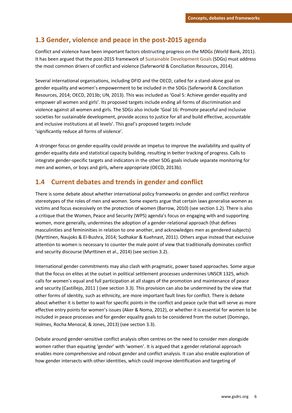## <span id="page-8-0"></span>**1.3 Gender, violence and peace in the post-2015 agenda**

Conflict and violence have been important factors obstructing progress on the MDGs (World Bank, 2011). It has been argued that the post-2015 framework o[f Sustainable Development Goals](https://sustainabledevelopment.un.org/sdgsproposal) (SDGs) must address the most common drivers of conflict and violence (Saferworld & Conciliation Resources, 2014).

Several international organisations, including DFID and the OECD, called for a stand-alone goal on gender equality and women's empowerment to be included in the SDGs (Saferworld & Conciliation Resources, 2014; OECD, 2013b; UN, 2013). This was included as 'Goal 5: Achieve gender equality and empower all women and girls'. Its proposed targets include ending all forms of discrimination and violence against all women and girls. The SDGs also include 'Goal 16: Promote peaceful and inclusive societies for sustainable development, provide access to justice for all and build effective, accountable and inclusive institutions at all levels'. This goal's proposed targets include 'significantly reduce all forms of violence'.

A stronger focus on gender equality could provide an impetus to improve the availability and quality of gender equality data and statistical capacity building, resulting in better tracking of progress. Calls to integrate gender-specific targets and indicators in the other SDG goals include separate monitoring for men and women, or boys and girls, where appropriate (OECD, 2013b).

## <span id="page-8-1"></span>**1.4 Current debates and trends in gender and conflict**

There is some debate about whether international policy frameworks on gender and conflict reinforce stereotypes of the roles of men and women. Some experts argue that certain laws generalise women as victims and focus excessively on the protection of women (Barrow, 2010) (see section 1.2). There is also a critique that the Women, Peace and Security (WPS) agenda's focus on engaging with and supporting women, more generally, undermines the adoption of a gender-relational approach (that defines masculinities and femininities in relation to one another, and acknowledges men as gendered subjects) (Myrttinen, Naujoks & El-Bushra, 2014; Sudhakar & Kuehnast, 2011). Others argue instead that exclusive attention to women is necessary to counter the male point of view that traditionally dominates conflict and security discourse (Myrttinen et al., 2014) (see section 3.2).

International gender commitments may also clash with pragmatic, power based approaches. Some argue that the focus on elites at the outset in political settlement processes undermines UNSCR 1325, which calls for women's equal and full participation at all stages of the promotion and maintenance of peace and security (Castillejo, 2011 ) (see section 3.3). This provision can also be undermined by the view that other forms of identity, such as ethnicity, are more important fault lines for conflict. There is debate about whether it is better to wait for specific points in the conflict and peace cycle that will serve as more effective entry points for women's issues (Aker & Noma, 2012), or whether it is essential for women to be included in peace processes and for gender equality goals to be considered from the outset (Domingo, Holmes, Rocha Menocal, & Jones, 2013) (see section 3.3).

Debate around gender-sensitive conflict analysis often centres on the need to consider men alongside women rather than equating 'gender' with 'women'. It is argued that a gender relational approach enables more comprehensive and robust gender and conflict analysis. It can also enable exploration of how gender intersects with other identities, which could improve identification and targeting of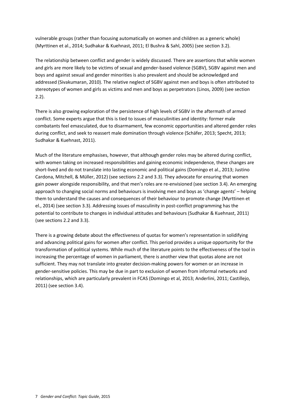vulnerable groups (rather than focusing automatically on women and children as a generic whole) (Myrttinen et al., 2014; Sudhakar & Kuehnast, 2011; El Bushra & Sahl, 2005) (see section 3.2).

The relationship between conflict and gender is widely discussed. There are assertions that while women and girls are more likely to be victims of sexual and gender-based violence (SGBV), SGBV against men and boys and against sexual and gender minorities is also prevalent and should be acknowledged and addressed (Sivakumaran, 2010). The relative neglect of SGBV against men and boys is often attributed to stereotypes of women and girls as victims and men and boys as perpetrators (Linos, 2009) (see section 2.2).

There is also growing exploration of the persistence of high levels of SGBV in the aftermath of armed conflict. Some experts argue that this is tied to issues of masculinities and identity: former male combatants feel emasculated, due to disarmament, few economic opportunities and altered gender roles during conflict, and seek to reassert male domination through violence (Schäfer, 2013; Specht, 2013; Sudhakar & Kuehnast, 2011).

Much of the literature emphasises, however, that although gender roles may be altered during conflict, with women taking on increased responsibilities and gaining economic independence, these changes are short-lived and do not translate into lasting economic and political gains (Domingo et al., 2013; Justino Cardona, Mitchell, & Müller, 2012) (see sections 2.2 and 3.3). They advocate for ensuring that women gain power alongside responsibility, and that men's roles are re-envisioned (see section 3.4). An emerging approach to changing social norms and behaviours is involving men and boys as 'change agents' – helping them to understand the causes and consequences of their behaviour to promote change (Myrttinen et el., 2014) (see section 3.3). Addressing issues of masculinity in post-conflict programming has the potential to contribute to changes in individual attitudes and behaviours (Sudhakar & Kuehnast, 2011) (see sections 2.2 and 3.3).

There is a growing debate about the effectiveness of quotas for women's representation in solidifying and advancing political gains for women after conflict. This period provides a unique opportunity for the transformation of political systems. While much of the literature points to the effectiveness of the tool in increasing the percentage of women in parliament, there is another view that quotas alone are not sufficient. They may not translate into greater decision-making powers for women or an increase in gender-sensitive policies. This may be due in part to exclusion of women from informal networks and relationships, which are particularly prevalent in FCAS (Domingo et al, 2013; Anderlini, 2011; Castillejo, 2011) (see section 3.4).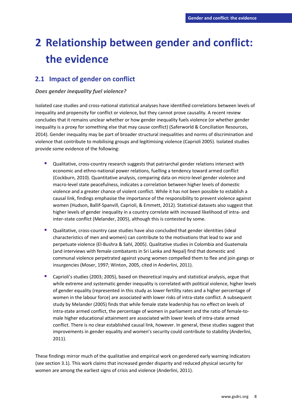## <span id="page-10-0"></span>**2 Relationship between gender and conflict: the evidence**

## <span id="page-10-1"></span>**2.1 Impact of gender on conflict**

#### *Does gender inequality fuel violence?*

Isolated case studies and cross-national statistical analyses have identified correlations between levels of inequality and propensity for conflict or violence, but they cannot prove causality. A recent review concludes that it remains unclear whether or how gender inequality fuels violence (or whether gender inequality is a proxy for something else that may cause conflict) (Saferworld & Conciliation Resources, 2014). Gender inequality may be part of broader structural inequalities and norms of discrimination and violence that contribute to mobilising groups and legitimising violence (Caprioli 2005). Isolated studies provide some evidence of the following:

- **Qualitative, cross-country research suggests that patriarchal gender relations intersect with** economic and ethno-national power relations, fuelling a tendency toward armed conflict (Cockburn, 2010). Quantitative analysis, comparing data on micro-level gender violence and macro-level state peacefulness, indicates a correlation between higher levels of domestic violence and a greater chance of violent conflict. While it has not been possible to establish a causal link, findings emphasise the importance of the responsibility to prevent violence against women (Hudson, Ballif-Spanvill, Caprioli, & Emmett, 2012). Statistical datasets also suggest that higher levels of gender inequality in a country correlate with increased likelihood of intra- and inter-state conflict (Melander, 2005), although this is contested by some.
- Qualitative, cross-country case studies have also concluded that gender identities (ideal characteristics of men and women) can contribute to the motivations that lead to war and perpetuate violence (El-Bushra & Sahl, 2005). Qualitative studies in Colombia and Guatemala (and interviews with female combatants in Sri Lanka and Nepal) find that domestic and communal violence perpetrated against young women compelled them to flee and join gangs or insurgencies (Moser, 1997; Winton, 2005, cited in Anderlini, 2011).
- Caprioli's studies (2003; 2005), based on theoretical inquiry and statistical analysis, argue that while extreme and systematic gender inequality is correlated with political violence, higher levels of gender equality (represented in this study as lower fertility rates and a higher percentage of women in the labour force) are associated with lower risks of intra-state conflict. A subsequent study by Melander (2005) finds that while female state leadership has no effect on levels of intra-state armed conflict, the percentage of women in parliament and the ratio of female-tomale higher educational attainment are associated with lower levels of intra-state armed conflict. There is no clear established causal link, however. In general, these studies suggest that improvements in gender equality and women's security could contribute to stability (Anderlini, 2011).

These findings mirror much of the qualitative and empirical work on gendered early warning indicators (see section 3.1)*.* This work claims that increased gender disparity and reduced physical security for women are among the earliest signs of crisis and violence (Anderlini, 2011).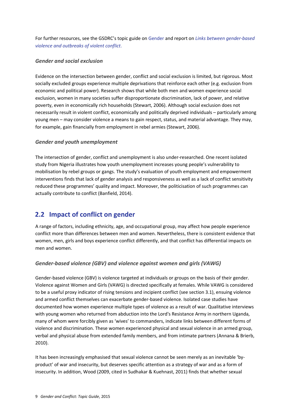For further resources, see the GSDRC's topic guide on [Gender](http://www.gsdrc.org/docs/open/gender.pdf) and report on *[Links between gender-based](http://www.gsdrc.org/docs/open/HDQ1169.pdf)  [violence and outbreaks of violent conflict](http://www.gsdrc.org/docs/open/HDQ1169.pdf)*.

#### *Gender and social exclusion*

Evidence on the intersection between gender, conflict and social exclusion is limited, but rigorous. Most socially excluded groups experience multiple deprivations that reinforce each other (e.g. exclusion from economic and political power). Research shows that while both men and women experience social exclusion, women in many societies suffer disproportionate discrimination, lack of power, and relative poverty, even in economically rich households (Stewart, 2006). Although social exclusion does not necessarily result in violent conflict, economically and politically deprived individuals – particularly among young men – may consider violence a means to gain respect, status, and material advantage. They may, for example, gain financially from employment in rebel armies (Stewart, 2006).

### *Gender and youth unemployment*

The intersection of gender, conflict and unemployment is also under-researched. One recent isolated study from Nigeria illustrates how youth unemployment increases young people's vulnerability to mobilisation by rebel groups or gangs. The study's evaluation of youth employment and empowerment interventions finds that lack of gender analysis and responsiveness as well as a lack of conflict sensitivity reduced these programmes' quality and impact. Moreover, the politicisation of such programmes can actually contribute to conflict (Banfield, 2014).

## <span id="page-11-0"></span>**2.2 Impact of conflict on gender**

A range of factors, including ethnicity, age, and occupational group, may affect how people experience conflict more than differences between men and women. Nevertheless, there is consistent evidence that women, men, girls and boys experience conflict differently, and that conflict has differential impacts on men and women.

### *Gender-based violence (GBV) and violence against women and girls (VAWG)*

Gender-based violence (GBV) is violence targeted at individuals or groups on the basis of their gender. Violence against Women and Girls (VAWG) is directed specifically at females. While VAWG is considered to be a useful proxy indicator of rising tensions and incipient conflict (see section 3.1), ensuing violence and armed conflict themselves can exacerbate gender-based violence. Isolated case studies have documented how women experience multiple types of violence as a result of war. Qualitative interviews with young women who returned from abduction into the Lord's Resistance Army in northern Uganda, many of whom were forcibly given as 'wives' to commanders, indicate links between different forms of violence and discrimination. These women experienced physical and sexual violence in an armed group, verbal and physical abuse from extended family members, and from intimate partners (Annana & Brierb, 2010).

It has been increasingly emphasised that sexual violence cannot be seen merely as an inevitable 'byproduct' of war and insecurity, but deserves specific attention as a strategy of war and as a form of insecurity. In addition, Wood (2009, cited in Sudhakar & Kuehnast, 2011) finds that whether sexual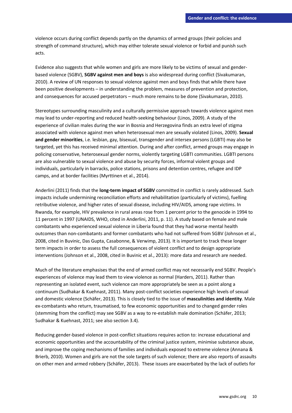violence occurs during conflict depends partly on the dynamics of armed groups (their policies and strength of command structure), which may either tolerate sexual violence or forbid and punish such acts.

Evidence also suggests that while women and girls are more likely to be victims of sexual and genderbased violence (SGBV), **SGBV against men and boys** is also widespread during conflict (Sivakumaran, 2010). A review of UN responses to sexual violence against men and boys finds that while there have been positive developments – in understanding the problem, measures of prevention and protection, and consequences for accused perpetrators – much more remains to be done (Sivakumaran, 2010).

Stereotypes surrounding masculinity and a culturally permissive approach towards violence against men may lead to under-reporting and reduced health-seeking behaviour (Linos, 2009). A study of the experience of civilian males during the war in Bosnia and Herzegovina finds an extra level of stigma associated with violence against men when heterosexual men are sexually violated (Linos, 2009). **Sexual and gender minorities**, i.e. lesbian, gay, bisexual, transgender and intersex persons (LGBTI) may also be targeted, yet this has received minimal attention. During and after conflict, armed groups may engage in policing conservative, heterosexual gender norms, violently targeting LGBTI communities. LGBTI persons are also vulnerable to sexual violence and abuse by security forces, informal violent groups and individuals, particularly in barracks, police stations, prisons and detention centres, refugee and IDP camps, and at border facilities (Myrttinen et al., 2014).

Anderlini (2011) finds that the **long-term impact of SGBV** committed in conflict is rarely addressed. Such impacts include undermining reconciliation efforts and rehabilitation (particularly of victims), fuelling retributive violence, and higher rates of sexual disease, including HIV/AIDS, among rape victims. In Rwanda, for example, HIV prevalence in rural areas rose from 1 percent prior to the genocide in 1994 to 11 percent in 1997 (UNAIDS, WHO, cited in Anderlini, 2011, p. 11). A study based on female and male combatants who experienced sexual violence in Liberia found that they had worse mental health outcomes than non-combatants and former combatants who had not suffered from SGBV (Johnson et al., 2008, cited in Buvinic, Das Gupta, Casabonne, & Verwimp, 2013)*.* It is important to track these longer term impacts in order to assess the full consequences of violent conflict and to design appropriate interventions (Johnson et al., 2008, cited in Buvinic et al., 2013): more data and research are needed.

Much of the literature emphasises that the end of armed conflict may not necessarily end SGBV. People's experiences of violence may lead them to view violence as normal (Harders, 2011). Rather than representing an isolated event, such violence can more appropriately be seen as a point along a continuum (Sudhakar & Kuehnast, 2011). Many post-conflict societies experience high levels of sexual and domestic violence (Schäfer, 2013). This is closely tied to the issue of **masculinities and identity**. Male ex-combatants who return, traumatised, to few economic opportunities and to changed gender roles (stemming from the conflict) may see SGBV as a way to re-establish male domination (Schäfer, 2013; Sudhakar & Kuehnast, 2011; see also section 3.4).

Reducing gender-based violence in post-conflict situations requires action to: increase educational and economic opportunities and the accountability of the criminal justice system, minimise substance abuse, and improve the coping mechanisms of families and individuals exposed to extreme violence (Annana & Brierb, 2010). Women and girls are not the sole targets of such violence; there are also reports of assaults on other men and armed robbery (Schäfer, 2013). These issues are exacerbated by the lack of outlets for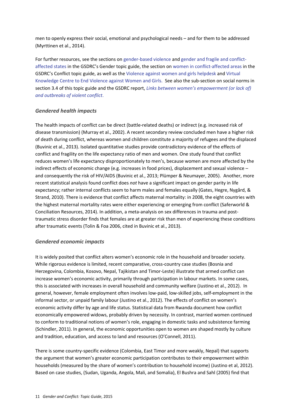men to openly express their social, emotional and psychological needs – and for them to be addressed (Myrttinen et al., 2014).

For further resources, see the sections on [gender-based violence](http://www.gsdrc.org/go/topic-guides/gender/gender-based-violence) an[d gender and fragile and conflict](http://www.gsdrc.org/index.cfm?objectid=C7CEA81C-14C2-620A-27133326C69E7F5D#conflict)[affected states](http://www.gsdrc.org/index.cfm?objectid=C7CEA81C-14C2-620A-27133326C69E7F5D#conflict) in the GSDRC's Gender topic guide, the section o[n women in conflict-affected areas](http://www.gsdrc.org/index.cfm?objectid=3134FC0D-14C2-620A-2746CF280F3B271E#impact) in the GSDRC's Conflict topic guide, as well as the [Violence against women and girls helpdesk](http://www.sddirect.org.uk/uploads/pdfs/VAWG-Folder.pdf) an[d Virtual](http://www.endvawnow.org/)  [Knowledge Centre to End Violence against Women and Girls.](http://www.endvawnow.org/) See also the sub-section on social norms in section 3.4 of this topic guide and the GSDRC report, *[Links between women's empowerment \(or lack of\)](http://www.gsdrc.org/go/display&type=Helpdesk&id=1170)  and outbreaks of violent conflict*.

### *Gendered health impacts*

The health impacts of conflict can be direct (battle-related deaths) or indirect (e.g. increased risk of disease transmission) (Murray et al., 2002). A recent secondary review concluded men have a higher risk of death during conflict, whereas women and children constitute a majority of refugees and the displaced (Buvinic et al., 2013). Isolated quantitative studies provide contradictory evidence of the effects of conflict and fragility on the life expectancy ratio of men and women. One study found that conflict reduces women's life expectancy disproportionately to men's, because women are more affected by the indirect effects of economic change (e.g. increases in food prices), displacement and sexual violence – and consequently the risk of HIV/AIDS (Buvinic et al., 2013; Plümper & Neumayer, 2005). Another, more recent statistical analysis found conflict does *not* have a significant impact on gender parity in life expectancy; rather internal conflicts seem to harm males and females equally (Gates, Hegre, Nygård, & Strand, 2010). There is evidence that conflict affects maternal mortality: in 2008, the eight countries with the highest maternal mortality rates were either experiencing or emerging from conflict (Saferworld & Conciliation Resources, 2014). In addition, a meta-analysis on sex differences in trauma and posttraumatic stress disorder finds that females are at greater risk than men of experiencing these conditions after traumatic events (Tolin & Foa 2006, cited in Buvinic et al., 2013).

### *Gendered economic impacts*

It is widely posited that conflict alters women's economic role in the household and broader society. While rigorous evidence is limited, recent comparative, cross-country case studies (Bosnia and Herzegovina, Colombia, Kosovo, Nepal, Tajikistan and Timor-Leste) illustrate that armed conflict can increase women's economic activity, primarily through participation in labour markets. In some cases, this is associated with increases in overall household and community welfare (Justino et al., 2012). In general, however, female employment often involves low-paid, low-skilled jobs, self-employment in the informal sector, or unpaid family labour (Justino et al., 2012). The effects of conflict on women's economic activity differ by age and life status. Statistical data from Rwanda document how conflict economically empowered widows, probably driven by necessity. In contrast, married women continued to conform to traditional notions of women's role, engaging in domestic tasks and subsistence farming (Schindler, 2011). In general, the economic opportunities open to women are shaped mostly by culture and tradition, education, and access to land and resources (O'Connell, 2011).

There is some country-specific evidence (Colombia, East Timor and more weakly, Nepal) that supports the argument that women's greater economic participation contributes to their empowerment within households (measured by the share of women's contribution to household income) (Justino et al, 2012). Based on case studies, (Sudan, Uganda, Angola, Mali, and Somalia), El Bushra and Sahl (2005) find that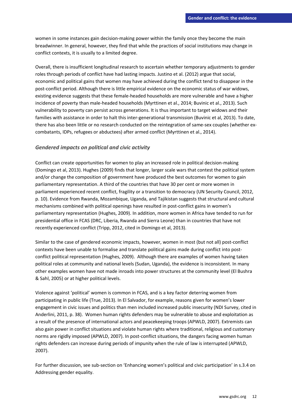women in some instances gain decision-making power within the family once they become the main breadwinner. In general, however, they find that while the practices of social institutions may change in conflict contexts, it is usually to a limited degree.

Overall, there is insufficient longitudinal research to ascertain whether temporary adjustments to gender roles through periods of conflict have had lasting impacts. Justino et al. (2012) argue that social, economic and political gains that women may have achieved during the conflict tend to disappear in the post-conflict period. Although there is little empirical evidence on the economic status of war widows, existing evidence suggests that these female-headed households are more vulnerable and have a higher incidence of poverty than male-headed households (Myrttinen et al., 2014; Buvinic et al., 2013). Such vulnerability to poverty can persist across generations. It is thus important to target widows and their families with assistance in order to halt this inter-generational transmission (Buvinic et al, 2013). To date, there has also been little or no research conducted on the reintegration of same-sex couples (whether excombatants, IDPs, refugees or abductees) after armed conflict (Myrttinen et al., 2014).

#### *Gendered impacts on political and civic activity*

Conflict can create opportunities for women to play an increased role in political decision-making (Domingo et al, 2013). Hughes (2009) finds that longer, larger scale wars that contest the political system and/or change the composition of government have produced the best outcomes for women to gain parliamentary representation. A third of the countries that have 30 per cent or more women in parliament experienced recent conflict, fragility or a transition to democracy (UN Security Council, 2012, p. 10). Evidence from Rwanda, Mozambique, Uganda, and Tajikistan suggests that structural and cultural mechanisms combined with political openings have resulted in post-conflict gains in women's parliamentary representation (Hughes, 2009). In addition, more women in Africa have tended to run for presidential office in FCAS (DRC, Liberia, Rwanda and Sierra Leone) than in countries that have not recently experienced conflict (Tripp, 2012, cited in Domingo et al, 2013).

Similar to the case of gendered economic impacts, however, women in most (but not all) post-conflict contexts have been unable to formalise and translate political gains made during conflict into postconflict political representation (Hughes, 2009). Although there are examples of women having taken political roles at community and national levels (Sudan, Uganda), the evidence is inconsistent. In many other examples women have not made inroads into power structures at the community level (El Bushra & Sahl, 2005) or at higher political levels.

Violence against 'political' women is common in FCAS, and is a key factor deterring women from participating in public life (True, 2013). In El Salvador, for example, reasons given for women's lower engagement in civic issues and politics than men included increased public insecurity (NDI Survey, cited in Anderlini, 2011, p. 38). Women human rights defenders may be vulnerable to abuse and exploitation as a result of the presence of international actors and peacekeeping troops (APWLD, 2007). Extremists can also gain power in conflict situations and violate human rights where traditional, religious and customary norms are rigidly imposed (APWLD, 2007). In post-conflict situations, the dangers facing women human rights defenders can increase during periods of impunity when the rule of law is interrupted (APWLD, 2007).

For further discussion, see sub-section on 'Enhancing women's political and civic participation' in s.3.4 on Addressing gender equality.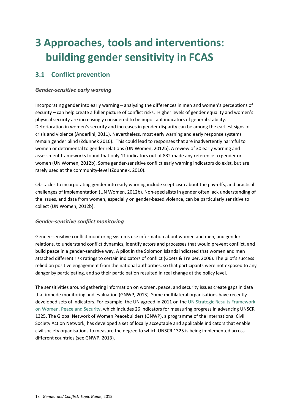## <span id="page-15-0"></span>**3 Approaches, tools and interventions: building gender sensitivity in FCAS**

## <span id="page-15-1"></span>**3.1 Conflict prevention**

### *Gender-sensitive early warning*

Incorporating gender into early warning – analysing the differences in men and women's perceptions of security – can help create a fuller picture of conflict risks. Higher levels of gender equality and women's physical security are increasingly considered to be important indicators of general stability. Deterioration in women's security and increases in gender disparity can be among the earliest signs of crisis and violence (Anderlini, 2011)**.** Nevertheless, most early warning and early response systems remain gender blind (Zdunnek 2010). This could lead to responses that are inadvertently harmful to women or detrimental to gender relations (UN Women, 2012b). A review of 30 early warning and assessment frameworks found that only 11 indicators out of 832 made any reference to gender or women (UN Women, 2012b). Some gender-sensitive conflict early warning indicators do exist, but are rarely used at the community-level (Zdunnek, 2010).

Obstacles to incorporating gender into early warning include scepticism about the pay-offs, and practical challenges of implementation (UN Women, 2012b). Non-specialists in gender often lack understanding of the issues, and data from women, especially on gender-based violence, can be particularly sensitive to collect (UN Women, 2012b).

### *Gender-sensitive conflict monitoring*

Gender-sensitive conflict monitoring systems use information about women and men, and gender relations, to understand conflict dynamics, identify actors and processes that would prevent conflict, and build peace in a gender-sensitive way. A pilot in the Solomon Islands indicated that women and men attached different risk ratings to certain indicators of conflict (Goetz & Treiber, 2006). The pilot's success relied on positive engagement from the national authorities, so that participants were not exposed to any danger by participating, and so their participation resulted in real change at the policy level.

The sensitivities around gathering information on women, peace, and security issues create gaps in data that impede monitoring and evaluation (GNWP, 2013). Some multilateral organisations have recently developed sets of indicators. For example, the UN agreed in 2011 on the UN Strategic Results Framework [on Women, Peace and Se](http://www.un.org/womenwatch/ianwge/taskforces/wps/Strategic_Framework_2011-2020.pdf)curity, which includes 26 indicators for measuring progress in advancing UNSCR 1325. The Global Network of Women Peacebuilders (GNWP), a programme of the International Civil Society Action Network, has developed a set of locally acceptable and applicable indicators that enable civil society organisations to measure the degree to which UNSCR 1325 is being implemented across different countries (see GNWP, 2013).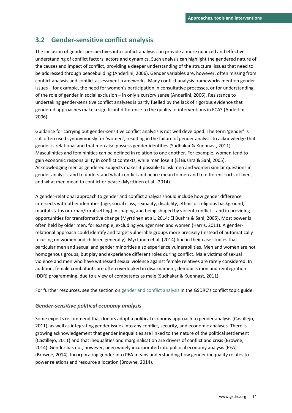## <span id="page-16-0"></span>**3.2 Gender-sensitive conflict analysis**

The inclusion of gender perspectives into conflict analysis can provide a more nuanced and effective understanding of conflict factors, actors and dynamics. Such analysis can highlight the gendered nature of the causes and impact of conflict, providing a deeper understanding of the structural issues that need to be addressed through peacebuilding (Anderlini, 2006). Gender variables are, however, often missing from conflict analysis and conflict assessment frameworks. Many conflict analysis frameworks mention gender issues – for example, the need for women's participation in consultative processes, or for understanding of the role of gender in social exclusion – in only a cursory sense (Anderlini, 2006). Resistance to undertaking gender-sensitive conflict analyses is partly fuelled by the lack of rigorous evidence that gendered approaches make a significant difference to the quality of interventions in FCAS (Anderlini, 2006).

Guidance for carrying out gender-sensitive conflict analysis is not well developed. The term 'gender' is still often used synonymously for 'women', resulting in the failure of gender analysis to acknowledge that gender is relational and that men also possess gender identities (Sudhakar & Kuehnast, 2011). Masculinities and femininities can be defined in relation to one another. For example, women tend to gain economic responsibility in conflict contexts, while men lose it (El Bushra & Sahl, 2005). Acknowledging men as gendered subjects makes it possible to ask men and women similar questions in gender analysis, and to understand what conflict and peace mean to men and to different sorts of men, and what men mean to conflict or peace (Myrttinen et al., 2014).

A gender-relational approach to gender and conflict analysis should include how gender difference intersects with other identities (age, social class, sexuality, disability, ethnic or religious background, marital status or urban/rural setting) in shaping and being shaped by violent conflict – and in providing opportunities for transformative change (Myrttinen et al., 2014; El Bushra & Sahl, 2005). Most power is often held by older men, for example, excluding younger men and women (Harris, 2011). A genderrelational approach could identify and target vulnerable groups more precisely (instead of automatically focusing on women and children generally). Myrttinen et al. (2014) find in their case studies that particular men and sexual and gender minorities also experience vulnerabilities. Men and women are not homogenous groups, but play and experience different roles during conflict. Male victims of sexual violence and men who have witnessed sexual violence against female relatives are rarely considered. In addition, female combatants are often overlooked in disarmament, demobilisation and reintegration (DDR) programming, due to a view of combatants as male (Sudhakar & Kuehnast, 2011).

For further resources, see the section o[n gender and conflict analysis](http://www.gsdrc.org/index.cfm?objectid=C7CEA81C-14C2-620A-27133326C69E7F5D#conflict) in the GSDRC's conflict topic guide.

#### *Gender-sensitive political economy analysis*

Some experts recommend that donors adopt a political economy approach to gender analysis (Castillejo, 2011), as well as integrating gender issues into any conflict, security, and economic analyses. There is growing acknowledgement that gender inequalities are linked to the nature of the political settlement (Castillejo, 2011) and that inequalities and marginalisation are drivers of conflict and crisis (Browne, 2014). Gender has not, however, been widely incorporated into political economy analysis (PEA) (Browne, 2014). Incorporating gender into PEA means understanding how gender inequality relates to power relations and resource allocation (Browne, 2014).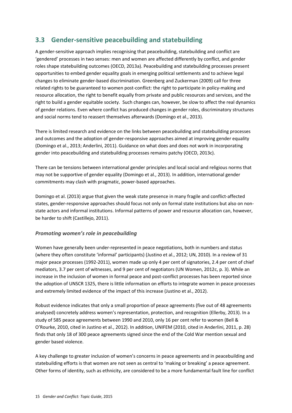## <span id="page-17-0"></span>**3.3 Gender-sensitive peacebuilding and statebuilding**

A gender-sensitive approach implies recognising that peacebuilding, statebuilding and conflict are 'gendered' processes in two senses: men and women are affected differently by conflict, and gender roles shape statebuilding outcomes (OECD, 2013a). Peacebuilding and statebuilding processes present opportunities to embed gender equality goals in emerging political settlements and to achieve legal changes to eliminate gender-based discrimination. Greenberg and Zuckerman (2009) call for three related rights to be guaranteed to women post-conflict: the right to participate in policy-making and resource allocation, the right to benefit equally from private and public resources and services, and the right to build a gender equitable society. Such changes can, however, be slow to affect the real dynamics of gender relations. Even where conflict has produced changes in gender roles, discriminatory structures and social norms tend to reassert themselves afterwards (Domingo et al., 2013).

There is limited research and evidence on the links between peacebuilding and statebuilding processes and outcomes and the adoption of gender-responsive approaches aimed at improving gender equality (Domingo et al., 2013; Anderlini, 2011). Guidance on what does and does not work in incorporating gender into peacebuilding and statebuilding processes remains patchy (OECD, 2013c).

There can be tensions between international gender principles and local social and religious norms that may not be supportive of gender equality (Domingo et al., 2013). In addition, international gender commitments may clash with pragmatic, power-based approaches.

Domingo et al. (2013) argue that given the weak state presence in many fragile and conflict-affected states, gender-responsive approaches should focus not only on formal state institutions but also on nonstate actors and informal institutions. Informal patterns of power and resource allocation can, however, be harder to shift (Castillejo, 2011).

### *Promoting women's role in peacebuilding*

Women have generally been under-represented in peace negotiations, both in numbers and status (where they often constitute 'informal' participants) (Justino et al., 2012; UN, 2010). In a review of 31 major peace processes (1992-2011), women made up only 4 per cent of signatories, 2.4 per cent of chief mediators, 3.7 per cent of witnesses, and 9 per cent of negotiators (UN Women, 2012c, p. 3). While an increase in the inclusion of women in formal peace and post-conflict processes has been reported since the adoption of UNSCR 1325, there is little information on efforts to integrate women in peace processes and extremely limited evidence of the impact of this increase (Justino et al., 2012).

Robust evidence indicates that only a small proportion of peace agreements (five out of 48 agreements analysed) concretely address women's representation, protection, and recognition (Ellerby, 2013). In a study of 585 peace agreements between 1990 and 2010, only 16 per cent refer to women (Bell & O'Rourke, 2010, cited in Justino et al., 2012). In addition, UNIFEM (2010, cited in Anderlini, 2011, p. 28) finds that only 18 of 300 peace agreements signed since the end of the Cold War mention sexual and gender based violence.

A key challenge to greater inclusion of women's concerns in peace agreements and in peacebuilding and statebuilding efforts is that women are not seen as central to 'making or breaking' a peace agreement. Other forms of identity, such as ethnicity, are considered to be a more fundamental fault line for conflict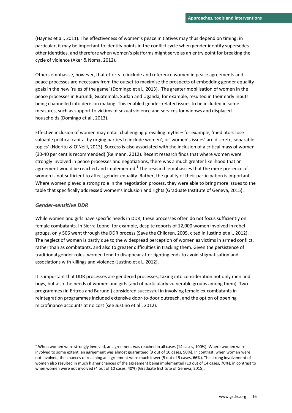(Haynes et al., 2011). The effectiveness of women's peace initiatives may thus depend on timing: in particular, it may be important to identify points in the conflict cycle when gender identity supersedes other identities, and therefore when women's platforms might serve as an entry point for breaking the cycle of violence (Aker & Noma, 2012).

Others emphasise, however, that efforts to include and reference women in peace agreements and peace processes are necessary from the outset to maximise the prospects of embedding gender equality goals in the new 'rules of the game' (Domingo et al., 2013). The greater mobilisation of women in the peace processes in Burundi, Guatemala, Sudan and Uganda, for example, resulted in their early inputs being channelled into decision making. This enabled gender-related issues to be included in some measures, such as support to victims of sexual violence and services for widows and displaced households (Domingo et al., 2013).

Effective inclusion of women may entail challenging prevailing myths – for example, 'mediators lose valuable political capital by urging parties to include women', or 'women's issues' are discrete, separable topics' (Nderitu & O'Neill, 2013). Success is also associated with the inclusion of a critical mass of women (30-40 per cent is recommended) (Reimann, 2012). Recent research finds that where women were strongly involved in peace processes and negotiations, there was a much greater likelihood that an agreement would be reached and implemented.<sup>1</sup> The research emphasises that the mere presence of women is not sufficient to affect gender equality. Rather, the quality of their participation is important. Where women played a strong role in the negotiation process, they were able to bring more issues to the table that specifically addressed women's inclusion and rights (Graduate Institute of Geneva, 2015).

#### *Gender-sensitive DDR*

**.** 

While women and girls have specific needs in DDR, these processes often do not focus sufficiently on female combatants. In Sierra Leone, for example, despite reports of 12,000 women involved in rebel groups, only 506 went through the DDR process (Save the Children, 2005, cited in Justino et al., 2012). The neglect of women is partly due to the widespread perception of women as victims in armed conflict, rather than as combatants, and also to greater difficulties in tracking them. Given the persistence of traditional gender roles, women tend to disappear after fighting ends to avoid stigmatisation and associations with killings and violence (Justino et al., 2012).

It is important that DDR processes are gendered processes, taking into consideration not only men and boys, but also the needs of women and girls (and of particularly vulnerable groups among them). Two programmes (in Eritrea and Burundi) considered successful in involving female ex-combatants in reintegration programmes included extensive door-to-door outreach, and the option of opening microfinance accounts at no cost (see Justino et al., 2012).

 $1$  When women were strongly involved, an agreement was reached in all cases (14 cases, 100%). Where women were involved to some extent, an agreement was almost guaranteed (9 out of 10 cases, 90%). In contrast, when women were not involved, the chances of reaching an agreement were much lower (5 out of 9 cases, 66%). The strong involvement of women also resulted in much higher chances of the agreement being implemented (10 out of 14 cases, 70%), in contrast to when women were not involved (4 out of 10 cases, 40%) (Graduate Institute of Geneva, 2015).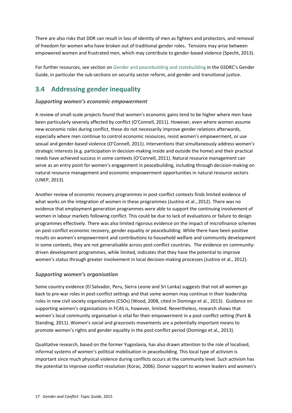There are also risks that DDR can result in loss of identity of men as fighters and protectors, and removal of freedom for women who have broken out of traditional gender roles. Tensions may arise between empowered women and frustrated men, which may contribute to gender-based violence (Specht, 2013).

For further resources, see section on [Gender and peacebuilding and statebuilding](http://www.gsdrc.org/go/topic-guides/gender/gender-statebuilding-and-peacebuilding) in the GSDRC's Gender Guide, in particular the sub-sections on security sector reform, and gender and transitional justice.

## <span id="page-19-0"></span>**3.4 Addressing gender inequality**

#### *Supporting women's economic empowerment*

A review of small-scale projects found that women's economic gains tend to be higher where men have been particularly severely affected by conflict (O'Connell, 2011). However, even where women assume new economic roles during conflict, these do not necessarily improve gender relations afterwards, especially where men continue to control economic resources, resist women's empowerment, or use sexual and gender-based violence (O'Connell, 2011). Interventions that simultaneously address women's strategic interests (e.g. participation in decision-making inside and outside the home) and their practical needs have achieved success in some contexts (O'Connell, 2011). Natural resource management can serve as an entry point for women's engagement in peacebuilding, including through decision-making on natural resource management and economic empowerment opportunities in natural resource sectors (UNEP, 2013).

Another review of economic recovery programmes in post-conflict contexts finds limited evidence of what works on the integration of women in these programmes (Justino et al., 2012). There was no evidence that employment generation programmes were able to support the continuing involvement of women in labour markets following conflict. This could be due to lack of evaluations or failure to design programmes effectively. There was also limited rigorous evidence on the impact of microfinance schemes on post-conflict economic recovery, gender equality or peacebuilding. While there have been positive results on women's empowerment and contributions to household welfare and community development in some contexts, they are not generalisable across post-conflict countries. The evidence on communitydriven development programmes, while limited, indicates that they have the potential to improve women's status through greater involvement in local decision-making processes (Justino et al., 2012).

### *Supporting women's organisation*

Some country evidence (El Salvador, Peru, Sierra Leone and Sri Lanka) suggests that not all women go back to pre-war roles in post-conflict settings and that some women may continue in their leadership roles in new civil society organisations (CSOs) (Wood, 2008, cited in Domingo et al., 2013). Guidance on supporting women's organisations in FCAS is, however, limited. Nevertheless, research shows that women's local community organisation is vital for their empowerment in a post-conflict setting (Pant & Standing, 2011). Women's social and grassroots movements are a potentially important means to promote women's rights and gender equality in the post-conflict period (Domingo et al., 2013).

Qualitative research, based on the former Yugoslavia, has also drawn attention to the role of localised, informal systems of women's political mobilisation in peacebuilding. This local type of activism is important since much physical violence during conflicts occurs at the community level. Such activism has the potential to improve conflict resolution (Korac, 2006). Donor support to women leaders and women's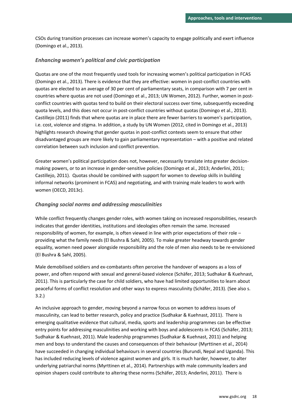CSOs during transition processes can increase women's capacity to engage politically and exert influence (Domingo et al., 2013).

#### *Enhancing women's political and civic participation*

Quotas are one of the most frequently used tools for increasing women's political participation in FCAS (Domingo et al., 2013). There is evidence that they are effective: women in post-conflict countries with quotas are elected to an average of 30 per cent of parliamentary seats, in comparison with 7 per cent in countries where quotas are not used (Domingo et al., 2013; UN Women, 2012). Further, women in postconflict countries with quotas tend to build on their electoral success over time, subsequently exceeding quota levels, and this does not occur in post-conflict countries without quotas (Domingo et al., 2013). Castillejo (2011) finds that where quotas are in place there are fewer barriers to women's participation, i.e. cost, violence and stigma. In addition, a study by UN Women (2012, cited in Domingo et al., 2013) highlights research showing that gender quotas in post-conflict contexts seem to ensure that other disadvantaged groups are more likely to gain parliamentary representation – with a positive and related correlation between such inclusion and conflict prevention.

Greater women's political participation does not, however, necessarily translate into greater decisionmaking powers, or to an increase in gender-sensitive policies (Domingo et al., 2013; Anderlini, 2011; Castillejo, 2011). Quotas should be combined with support for women to develop skills in building informal networks (prominent in FCAS) and negotiating, and with training male leaders to work with women (OECD, 2013c).

#### *Changing social norms and addressing masculinities*

While conflict frequently changes gender roles, with women taking on increased responsibilities, research indicates that gender identities, institutions and ideologies often remain the same. Increased responsibility of women, for example, is often viewed in line with prior expectations of their role – providing what the family needs (El Bushra & Sahl, 2005). To make greater headway towards gender equality, women need power alongside responsibility and the role of men also needs to be re-envisioned (El Bushra & Sahl, 2005).

Male demobilised soldiers and ex-combatants often perceive the handover of weapons as a loss of power, and often respond with sexual and general-based violence (Schäfer, 2013; Sudhakar & Kuehnast, 2011). This is particularly the case for child soldiers, who have had limited opportunities to learn about peaceful forms of conflict resolution and other ways to express masculinity (Schäfer, 2013). (See also s. 3.2.)

An inclusive approach to gender, moving beyond a narrow focus on women to address issues of masculinity, can lead to better research, policy and practice (Sudhakar & Kuehnast, 2011). There is emerging qualitative evidence that cultural, media, sports and leadership programmes can be effective entry points for addressing masculinities and working with boys and adolescents in FCAS (Schäfer, 2013; Sudhakar & Kuehnast, 2011). Male leadership programmes (Sudhakar & Kuehnast, 2011) and helping men and boys to understand the causes and consequences of their behaviour (Myrttinen et al., 2014) have succeeded in changing individual behaviours in several countries (Burundi, Nepal and Uganda). This has included reducing levels of violence against women and girls. It is much harder, however, to alter underlying patriarchal norms (Myrttinen et al., 2014). Partnerships with male community leaders and opinion shapers could contribute to altering these norms (Schäfer, 2013; Anderlini, 2011). There is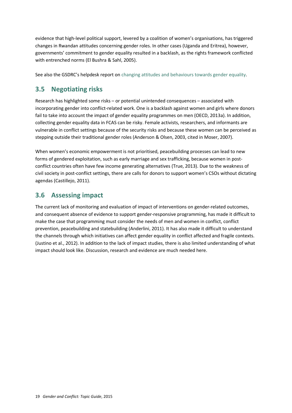evidence that high-level political support, levered by a coalition of women's organisations, has triggered changes in Rwandan attitudes concerning gender roles. In other cases (Uganda and Eritrea), however, governments' commitment to gender equality resulted in a backlash, as the rights framework conflicted with entrenched norms (El Bushra & Sahl, 2005).

See also the GSDRC's helpdesk report on [changing attitudes and behaviours towards gender equality.](http://www.gsdrc.org/go/display&type=Helpdesk&id=817)

## <span id="page-21-0"></span>**3.5 Negotiating risks**

Research has highlighted some risks – or potential unintended consequences – associated with incorporating gender into conflict-related work. One is a backlash against women and girls where donors fail to take into account the impact of gender equality programmes on men (OECD, 2013a). In addition, collecting gender equality data in FCAS can be risky. Female activists, researchers, and informants are vulnerable in conflict settings because of the security risks and because these women can be perceived as stepping outside their traditional gender roles (Anderson & Olsen, 2003, cited in Moser, 2007).

When women's economic empowerment is not prioritised, peacebuilding processes can lead to new forms of gendered exploitation, such as early marriage and sex trafficking, because women in postconflict countries often have few income generating alternatives (True, 2013). Due to the weakness of civil society in post-conflict settings, there are calls for donors to support women's CSOs without dictating agendas (Castillejo, 2011).

## <span id="page-21-1"></span>**3.6 Assessing impact**

The current lack of monitoring and evaluation of impact of interventions on gender-related outcomes, and consequent absence of evidence to support gender-responsive programming, has made it difficult to make the case that programming must consider the needs of men and women in conflict, conflict prevention, peacebuilding and statebuilding (Anderlini, 2011). It has also made it difficult to understand the channels through which initiatives can affect gender equality in conflict affected and fragile contexts. (Justino et al., 2012). In addition to the lack of impact studies, there is also limited understanding of what impact should look like. Discussion, research and evidence are much needed here.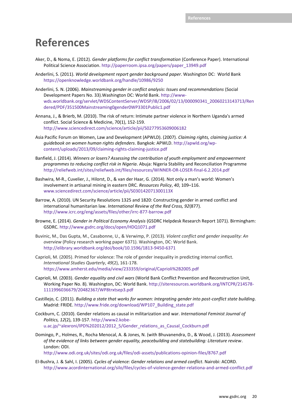## <span id="page-22-0"></span>**References**

- Aker, D., & Noma, E. (2012). *Gender platforms for conflict transformation* (Conference Paper). International Political Science Association. http://paperroom.ipsa.org/papers/paper\_13949.pdf
- Anderlini, S. (2011). *World development report gender background paper*. Washington DC: World Bank <https://openknowledge.worldbank.org/handle/10986/9250>
- Anderlini, S. N. (2006). *Mainstreaming gender in conflict analysis: Issues and recommendations* (Social Development Papers No. 33).Washington DC: World Bank. [http://www](http://www-wds.worldbank.org/servlet/WDSContentServer/WDSP/IB/2006/02/13/000090341_20060213143713/Rendered/PDF/351500Mainstreaming0gender0WP3301Public1.pdf)[wds.worldbank.org/servlet/WDSContentServer/WDSP/IB/2006/02/13/000090341\\_20060213143713/Ren](http://www-wds.worldbank.org/servlet/WDSContentServer/WDSP/IB/2006/02/13/000090341_20060213143713/Rendered/PDF/351500Mainstreaming0gender0WP3301Public1.pdf) [dered/PDF/351500Mainstreaming0gender0WP3301Public1.pdf](http://www-wds.worldbank.org/servlet/WDSContentServer/WDSP/IB/2006/02/13/000090341_20060213143713/Rendered/PDF/351500Mainstreaming0gender0WP3301Public1.pdf)
- Annana, J., & Brierb, M. (2010). The risk of return: Intimate partner violence in Northern Uganda's armed conflict. Social Science & Medicine, 70(1), 152-159. <http://www.sciencedirect.com/science/article/pii/S0277953609006182>
- Asia Pacific Forum on Women, Law and Development (APWLD). (2007). *Claiming rights, claiming justice: A guidebook on women human rights defenders*. Bangkok: APWLD. [http://apwld.org/wp](http://apwld.org/wp-content/uploads/2013/09/claiming-rights-claiming-justice.pdf)[content/uploads/2013/09/claiming-rights-claiming-justice.pdf](http://apwld.org/wp-content/uploads/2013/09/claiming-rights-claiming-justice.pdf)
- Banfield, J. (2014). *Winners or losers? Assessing the contribution of youth employment and empowerment programmes to reducing conflict risk in Nigeria*. Abuja: Nigeria Stability and Reconciliation Programme <http://reliefweb.int/sites/reliefweb.int/files/resources/WINNER-OR-LOSER-final-6.2.2014.pdf>
- Bashwira, M-R., Cuvelier, J., Hilorst, D., & van der Haar, G. (2014). Not only a man's world: Women's involvement in artisanal mining in eastern DRC. *Resources Policy*, *40*, 109–116. [www.sciencedirect.com/science/article/pii/S030142071300113X](http://www.sciencedirect.com/science/article/pii/S030142071300113X)
- Barrow, A. (2010). UN Security Resolutions 1325 and 1820: Constructing gender in armed conflict and international humanitarian law. *International Review of the Red Cross, 92*(877). <http://www.icrc.org/eng/assets/files/other/irrc-877-barrow.pdf>
- Browne, E. (2014). *Gender in Political Economy Analysis* (GSDRC Helpdesk Research Report 1071). Birmingham: GSDRC[. http://www.gsdrc.org/docs/open/HDQ1071.pdf](http://www.gsdrc.org/docs/open/HDQ1071.pdf)
- Buvinic, M., Das Gupta, M., Casabonne, U., & Verwimp, P. (2013). *Violent conflict and gender inequality: An overview* (Policy research working paper 6371). Washington, DC: World Bank. <http://elibrary.worldbank.org/doi/book/10.1596/1813-9450-6371>
- Caprioli, M. (2005). Primed for violence: The role of gender inequality in predicting internal conflict. *International Studies Quarterly*, *49*(2), 161-178. <https://www.amherst.edu/media/view/233359/original/Caprioli%2B2005.pdf>
- Caprioli, M. (2003). *Gender equality and civil wars* (World Bank Conflict Prevention and Reconstruction Unit, Working Paper No. 8). Washington, DC: World Bank[. http://siteresources.worldbank.org/INTCPR/214578-](http://siteresources.worldbank.org/INTCPR/214578-1111996036679/20482367/WP8trxtsep3.pdf) [1111996036679/20482367/WP8trxtsep3.pdf](http://siteresources.worldbank.org/INTCPR/214578-1111996036679/20482367/WP8trxtsep3.pdf)
- Castillejo, C. (2011). *Building a state that works for women: Integrating gender into post-conflict state building*. Madrid: FRIDE. [http://www.fride.org/download/WP107\\_Building\\_state.pdf](http://www.fride.org/download/WP107_Building_state.pdf)
- Cockburn, C. (2010). Gender relations as causal in militarization and war. *International Feminist Journal of Politics, 12*(2), 139-157[. http://www2.kobe](http://www2.kobe-u.ac.jp/~alexroni/IPD%202012/2012_5/Gender_relations_as_Causal_Cockburn.pdf)[u.ac.jp/~alexroni/IPD%202012/2012\\_5/Gender\\_relations\\_as\\_Causal\\_Cockburn.pdf](http://www2.kobe-u.ac.jp/~alexroni/IPD%202012/2012_5/Gender_relations_as_Causal_Cockburn.pdf)
- Domingo, P., Holmes, R., Rocha Menocal, A. & Jones, N. (with Bhuvanendra, D., & Wood, J. (2013). *Assessment of the evidence of links between gender equality, peacebuilding and statebuilding: Literature review*. London: ODI.

<http://www.odi.org.uk/sites/odi.org.uk/files/odi-assets/publications-opinion-files/8767.pdf>

El-Bushra, J. & Sahl, I. (2005). *Cycles of violence: Gender relations and armed conflict*. Nairobi: ACORD. <http://www.acordinternational.org/silo/files/cycles-of-violence-gender-relationa-and-armed-conflict.pdf>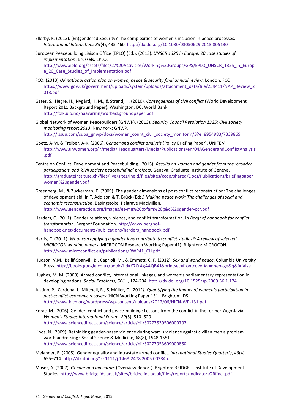- Ellerby. K. (2013). (En)gendered Security? The complexities of women's inclusion in peace processes. *International Interactions 39*(4), 435-460. <http://dx.doi.org/10.1080/03050629.2013.805130>
- European Peacebuilding Liaison Office (EPLO) (Ed.). (2013). *UNSCR 1325 in Europe: 20 case studies of implementation*. Brussels: EPLO. [http://www.eplo.org/assets/files/2.%20Activities/Working%20Groups/GPS/EPLO\\_UNSCR\\_1325\\_in\\_Europ](http://www.eplo.org/assets/files/2.%20Activities/Working%20Groups/GPS/EPLO_UNSCR_1325_in_Europe_20_Case_Studies_of_Implementation.pdf) [e\\_20\\_Case\\_Studies\\_of\\_Implementation.pdf](http://www.eplo.org/assets/files/2.%20Activities/Working%20Groups/GPS/EPLO_UNSCR_1325_in_Europe_20_Case_Studies_of_Implementation.pdf)
- FCO. (2013).*UK national action plan on women, peace & security final annual review*. London: FCO [https://www.gov.uk/government/uploads/system/uploads/attachment\\_data/file/259411/NAP\\_Review\\_2](https://www.gov.uk/government/uploads/system/uploads/attachment_data/file/259411/NAP_Review_2013.pdf) [013.pdf](https://www.gov.uk/government/uploads/system/uploads/attachment_data/file/259411/NAP_Review_2013.pdf)
- Gates, S., Hegre, H., Nygård, H. M., & Strand, H. (2010)*. Consequences of civil conflict* (World Development Report 2011 Background Paper). Washington, DC: World Bank. <http://folk.uio.no/haavarmn/wdrbackgroundpaper.pdf>
- Global Network of Women Peacebuilders (GNWP). (2013). *Security Council Resolution 1325: Civil society monitoring report 2013*. New York: GNWP. [http://issuu.com/suba\\_gnwp/docs/women\\_count\\_civil\\_society\\_monitorin/3?e=8954983/7339869](http://issuu.com/suba_gnwp/docs/women_count_civil_society_monitorin/3?e=8954983/7339869)
- Goetz, A-M. & Treiber, A-K. (2006). *Gender and conflict analysis* (Policy Briefing Paper). UNIFEM. [http://www.unwomen.org/~/media/Headquarters/Media/Publications/en/04AGenderandConflictAnalysis](http://www.unwomen.org/~/media/Headquarters/Media/Publications/en/04AGenderandConflictAnalysis.pdf) [.pdf](http://www.unwomen.org/~/media/Headquarters/Media/Publications/en/04AGenderandConflictAnalysis.pdf)
- Centre on Conflict, Development and Peacebuilding. (2015). *Results on women and gender from the 'broader participation' and 'civil society peacebuilding' projects*. Geneva: Graduate Institute of Geneva. [http://graduateinstitute.ch/files/live/sites/iheid/files/sites/ccdp/shared/Docs/Publications/briefingpaper](http://graduateinstitute.ch/files/live/sites/iheid/files/sites/ccdp/shared/Docs/Publications/briefingpaperwomen%20gender.pdf) [women%20gender.pdf](http://graduateinstitute.ch/files/live/sites/iheid/files/sites/ccdp/shared/Docs/Publications/briefingpaperwomen%20gender.pdf)
- Greenberg, M., & Zuckerman, E. (2009). The gender dimensions of post-conflict reconstruction: The challenges of development aid. In T. Addison & T. Brück (Eds.) *Making peace work: The challenges of social and economic reconstruction*. Basingstoke: Palgrave MacMillan. <http://www.genderaction.org/images/ez-mg%20oxfam%20g&d%20gender-pcr.pdf>
- Harders, C. (2011). Gender relations, violence, and conflict transformation. In *Berghof handbook for conflict transformation*. Berghof Foundation. [http://www.berghof](http://www.berghof-handbook.net/documents/publications/harders_handbook.pdf)[handbook.net/documents/publications/harders\\_handbook.pdf](http://www.berghof-handbook.net/documents/publications/harders_handbook.pdf)
- Harris, C. (2011). *What can applying a gender lens contribute to conflict studies?: A review of selected MICROCON working papers* (MICROCON Research Working Paper 41). Brighton: MICROCON. [http://www.microconflict.eu/publications/RWP41\\_CH.pdf](http://www.microconflict.eu/publications/RWP41_CH.pdf)
- Hudson, V.M., Ballif-Spanvill, B., Caprioli, M., & Emmett, C. F. (2012). *Sex and world peace*. Columbia University Press. <http://books.google.co.uk/books?id=K7CrAgAAQBAJ&printsec=frontcover#v=onepage&q&f=false>
- Hughes, M. M. (2009). Armed conflict, international linkages, and women's parliamentary representation in developing nations. *Social Problems*, *56*(1), 174-204[. http://dx.doi.org/10.1525/sp.2009.56.1.174](http://dx.doi.org/10.1525/sp.2009.56.1.174)
- Justino, P., Cardona, I., Mitchell, R., & Müller, C. (2012*). Quantifying the impact of women's participation in post-conflict economic recovery* (HiCN Working Paper 131). Brighton: IDS. <http://www.hicn.org/wordpress/wp-content/uploads/2012/06/HiCN-WP-131.pdf>
- Korac, M. (2006). Gender, conflict and peace-building: Lessons from the conflict in the former Yugoslavia, *Women's Studies International Forum*, *29*(5), 510–520 <http://www.sciencedirect.com/science/article/pii/S0277539506000707>
- Linos, N. (2009). Rethinking gender-based violence during war: Is violence against civilian men a problem worth addressing? Social Science & Medicine, 68(8), 1548-1551. <http://www.sciencedirect.com/science/article/pii/S0277953609000860>
- Melander, E. (2005). Gender equality and intrastate armed conflict. *International Studies Quarterly*, *49*(4), 695–714. <http://dx.doi.org/10.1111/j.1468-2478.2005.00384.x>
- Moser, A. (2007). *Gender and indicators* (Overview Report). Brighton: BRIDGE Institute of Development Studies. <http://www.bridge.ids.ac.uk/sites/bridge.ids.ac.uk/files/reports/IndicatorsORfinal.pdf>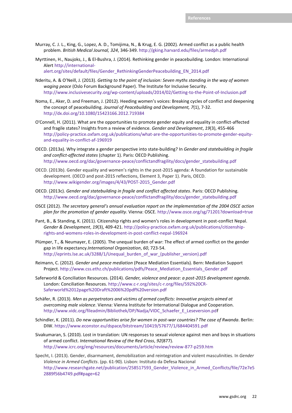- Murray, C. J. L., King, G., Lopez, A. D., Tomijima, N., & Krug, E. G. (2002)*.* Armed conflict as a public health problem. *British Medical Journal, 324*, 346-349[. http://gking.harvard.edu/files/armedph.pdf](http://gking.harvard.edu/files/armedph.pdf)
- Myrttinen, H., Naujoks, J., & El-Bushra, J. (2014). Rethinking gender in peacebuilding. London: International Alert [http://international](http://international-alert.org/sites/default/files/Gender_RethinkingGenderPeacebuilding_EN_2014.pdf)[alert.org/sites/default/files/Gender\\_RethinkingGenderPeacebuilding\\_EN\\_2014.pdf](http://international-alert.org/sites/default/files/Gender_RethinkingGenderPeacebuilding_EN_2014.pdf)
- Nderitu, A. & O'Neill, J. (2013). *Getting to the point of inclusion: Seven myths standing in the way of women waging peace* (Oslo Forum Background Paper). The Institute for Inclusive Security. <http://www.inclusivesecurity.org/wp-content/uploads/2014/02/Getting-to-the-Point-of-Inclusion.pdf>
- Noma, E., Aker, D. and Freeman, J. (2012). Heeding women's voices: Breaking cycles of conflict and deepening the concept of peacebuilding. *Journal of Peacebuilding and Development, 7*(1), 7-32. <http://dx.doi.org/10.1080/15423166.2012.719384>
- O'Connell, H. (2011). What are the opportunities to promote gender equity and equality in conflict-affected and fragile states? Insights from a review of evidence. *Gender and Development*, *19*(3), 455-466 [http://policy-practice.oxfam.org.uk/publications/what-are-the-opportunities-to-promote-gender-equity](http://policy-practice.oxfam.org.uk/publications/what-are-the-opportunities-to-promote-gender-equity-and-equality-in-conflict-af-196919)[and-equality-in-conflict-af-196919](http://policy-practice.oxfam.org.uk/publications/what-are-the-opportunities-to-promote-gender-equity-and-equality-in-conflict-af-196919)
- OECD. (2013a). Why integrate a gender perspective into state-building? In *Gender and statebuilding in fragile and conflict-affected states* (chapter 1). Paris: OECD Publishing. [http://www.oecd.org/dac/governance-peace/conflictandfragility/docs/gender\\_statebuilding.pdf](http://www.oecd.org/dac/governance-peace/conflictandfragility/docs/gender_statebuilding.pdf)
- OECD. (2013b). Gender equality and women's rights in the post-2015 agenda: A foundation for sustainable development. (OECD and post-2015 reflections, Element 3, Paper 1). Paris, OECD. [http://www.wikigender.org/images/4/43/POST-2015\\_Gender.pdf](http://www.wikigender.org/images/4/43/POST-2015_Gender.pdf)
- OECD. (2013c). *Gender and statebuilding in fragile and conflict affected states*. Paris: OECD Publishing. http://www.oecd.org/dac/governance-peace/conflictandfragility/docs/gender\_statebuilding.pdf
- OSCE (2012). *The secretary general's annual evaluation report on the implementation of the 2004 OSCE action plan for the promotion of gender equality*. Vienna: OSCE.<http://www.osce.org/sg/71201?download=true>
- Pant, B., & Standing, K. (2011). Citizenship rights and women's roles in development in post-conflict Nepal. *Gender & Development*, *19*(3), 409-421. [http://policy-practice.oxfam.org.uk/publications/citizenship](http://policy-practice.oxfam.org.uk/publications/citizenship-rights-and-womens-roles-in-development-in-post-conflict-nepal-196924)[rights-and-womens-roles-in-development-in-post-conflict-nepal-196924](http://policy-practice.oxfam.org.uk/publications/citizenship-rights-and-womens-roles-in-development-in-post-conflict-nepal-196924)
- Plümper, T., & Neumayer, E. (2005). The unequal burden of war: The effect of armed conflict on the gender gap in life expectancy.*International Organization*, *60*, 723-54. [http://eprints.lse.ac.uk/3288/1/Unequal\\_burden\\_of\\_war\\_\(publisher\\_version\).pdf](http://eprints.lse.ac.uk/3288/1/Unequal_burden_of_war_(publisher_version).pdf)
- Reimann, C. (2012). *Gender and peace mediation* (Peace Mediation Essentials). Bern: Mediation Support Project[. http://www.css.ethz.ch/publications/pdfs/Peace\\_Mediation\\_Essentials\\_Gender.pdf](http://www.css.ethz.ch/publications/pdfs/Peace_Mediation_Essentials_Gender.pdf)
- Saferworld & Conciliation Resources. (2014). *Gender, violence and peace: a post-2015 development agenda*. London: Conciliation Resources. [http://www.c-r.org/sites/c-r.org/files/592%20CR-](http://www.c-r.org/sites/c-r.org/files/592%20CR-Saferworld%2012page%20Draft%2006%20pdf%20version.pdf)[Saferworld%2012page%20Draft%2006%20pdf%20version.pdf](http://www.c-r.org/sites/c-r.org/files/592%20CR-Saferworld%2012page%20Draft%2006%20pdf%20version.pdf)
- Schäfer, R. (2013). *Men as perpetrators and victims of armed conflicts: Innovative projects aimed at overcoming male violence*. Vienna: Vienna Institute for International Dialogue and Cooperation. [http://www.vidc.org/fileadmin/Bibliothek/DP/Nadja/VIDC\\_Schaefer\\_E\\_Leseversion.pdf](http://www.vidc.org/fileadmin/Bibliothek/DP/Nadja/VIDC_Schaefer_E_Leseversion.pd)
- Schindler, K. (2011). *Do new opportunities arise for women in post-war countries? The case of Rwanda*. Berlin: DIW[. https://www.econstor.eu/dspace/bitstream/10419/57677/1/684404591.pdf](https://www.econstor.eu/dspace/bitstream/10419/57677/1/684404591.pdf)
- Sivakumaran, S. (2010). Lost in translation: UN responses to sexual violence against men and boys in situations of armed conflict. *International Review of the Red Cross*, *92*(877). <http://www.icrc.org/eng/resources/documents/article/review/review-877-p259.htm>
- Specht, I. (2013). Gender, disarmament, demobilization and reintegration and violent masculinities. In *Gender Violence in Armed Conflicts*. (pp. 61-90). Lisbon: Instituto da Defesa Nacional [http://www.researchgate.net/publication/258517593\\_Gender\\_Violence\\_in\\_Armed\\_Conflicts/file/72e7e5](http://www.researchgate.net/publication/258517593_Gender_Violence_in_Armed_Conflicts/file/72e7e52889f56b4749.pdf#page=62) [2889f56b4749.pdf#page=62](http://www.researchgate.net/publication/258517593_Gender_Violence_in_Armed_Conflicts/file/72e7e52889f56b4749.pdf#page=62)